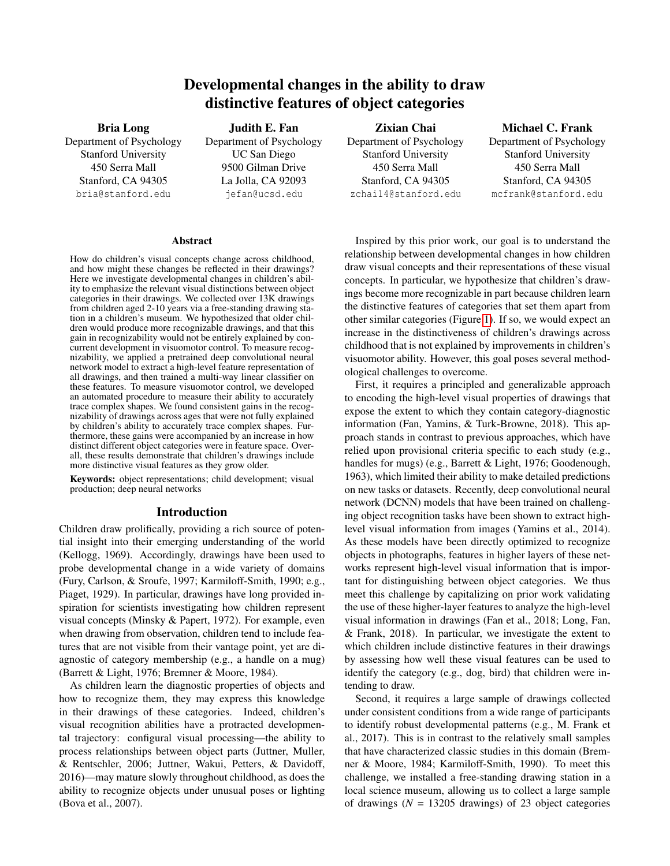# Developmental changes in the ability to draw distinctive features of object categories

Bria Long Department of Psychology Stanford University 450 Serra Mall Stanford, CA 94305 bria@stanford.edu

## Judith E. Fan Department of Psychology UC San Diego 9500 Gilman Drive La Jolla, CA 92093 jefan@ucsd.edu

## Zixian Chai

Department of Psychology Stanford University 450 Serra Mall Stanford, CA 94305 zchai14@stanford.edu

## Michael C. Frank

Department of Psychology Stanford University 450 Serra Mall Stanford, CA 94305 mcfrank@stanford.edu

#### Abstract

How do children's visual concepts change across childhood, and how might these changes be reflected in their drawings? Here we investigate developmental changes in children's ability to emphasize the relevant visual distinctions between object categories in their drawings. We collected over 13K drawings from children aged 2-10 years via a free-standing drawing station in a children's museum. We hypothesized that older children would produce more recognizable drawings, and that this gain in recognizability would not be entirely explained by concurrent development in visuomotor control. To measure recognizability, we applied a pretrained deep convolutional neural network model to extract a high-level feature representation of all drawings, and then trained a multi-way linear classifier on these features. To measure visuomotor control, we developed an automated procedure to measure their ability to accurately trace complex shapes. We found consistent gains in the recognizability of drawings across ages that were not fully explained by children's ability to accurately trace complex shapes. Furthermore, these gains were accompanied by an increase in how distinct different object categories were in feature space. Overall, these results demonstrate that children's drawings include more distinctive visual features as they grow older.

Keywords: object representations; child development; visual production; deep neural networks

#### Introduction

Children draw prolifically, providing a rich source of potential insight into their emerging understanding of the world (Kellogg, 1969). Accordingly, drawings have been used to probe developmental change in a wide variety of domains (Fury, Carlson, & Sroufe, 1997; Karmiloff-Smith, 1990; e.g., Piaget, 1929). In particular, drawings have long provided inspiration for scientists investigating how children represent visual concepts (Minsky & Papert, 1972). For example, even when drawing from observation, children tend to include features that are not visible from their vantage point, yet are diagnostic of category membership (e.g., a handle on a mug) (Barrett & Light, 1976; Bremner & Moore, 1984).

As children learn the diagnostic properties of objects and how to recognize them, they may express this knowledge in their drawings of these categories. Indeed, children's visual recognition abilities have a protracted developmental trajectory: configural visual processing—the ability to process relationships between object parts (Juttner, Muller, & Rentschler, 2006; Juttner, Wakui, Petters, & Davidoff, 2016)—may mature slowly throughout childhood, as does the ability to recognize objects under unusual poses or lighting (Bova et al., 2007).

Inspired by this prior work, our goal is to understand the relationship between developmental changes in how children draw visual concepts and their representations of these visual concepts. In particular, we hypothesize that children's drawings become more recognizable in part because children learn the distinctive features of categories that set them apart from other similar categories (Figure [1\)](#page-1-0). If so, we would expect an increase in the distinctiveness of children's drawings across childhood that is not explained by improvements in children's visuomotor ability. However, this goal poses several methodological challenges to overcome.

First, it requires a principled and generalizable approach to encoding the high-level visual properties of drawings that expose the extent to which they contain category-diagnostic information (Fan, Yamins, & Turk-Browne, 2018). This approach stands in contrast to previous approaches, which have relied upon provisional criteria specific to each study (e.g., handles for mugs) (e.g., Barrett & Light, 1976; Goodenough, 1963), which limited their ability to make detailed predictions on new tasks or datasets. Recently, deep convolutional neural network (DCNN) models that have been trained on challenging object recognition tasks have been shown to extract highlevel visual information from images (Yamins et al., 2014). As these models have been directly optimized to recognize objects in photographs, features in higher layers of these networks represent high-level visual information that is important for distinguishing between object categories. We thus meet this challenge by capitalizing on prior work validating the use of these higher-layer features to analyze the high-level visual information in drawings (Fan et al., 2018; Long, Fan, & Frank, 2018). In particular, we investigate the extent to which children include distinctive features in their drawings by assessing how well these visual features can be used to identify the category (e.g., dog, bird) that children were intending to draw.

Second, it requires a large sample of drawings collected under consistent conditions from a wide range of participants to identify robust developmental patterns (e.g., M. Frank et al., 2017). This is in contrast to the relatively small samples that have characterized classic studies in this domain (Bremner & Moore, 1984; Karmiloff-Smith, 1990). To meet this challenge, we installed a free-standing drawing station in a local science museum, allowing us to collect a large sample of drawings  $(N = 13205$  drawings) of 23 object categories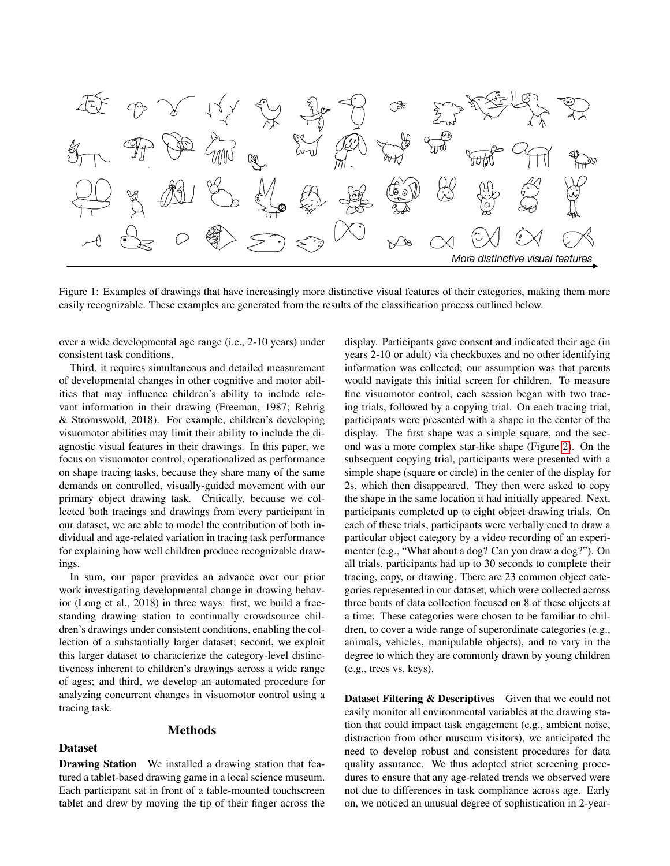<span id="page-1-0"></span>

Figure 1: Examples of drawings that have increasingly more distinctive visual features of their categories, making them more easily recognizable. These examples are generated from the results of the classification process outlined below.

over a wide developmental age range (i.e., 2-10 years) under consistent task conditions.

Third, it requires simultaneous and detailed measurement of developmental changes in other cognitive and motor abilities that may influence children's ability to include relevant information in their drawing (Freeman, 1987; Rehrig & Stromswold, 2018). For example, children's developing visuomotor abilities may limit their ability to include the diagnostic visual features in their drawings. In this paper, we focus on visuomotor control, operationalized as performance on shape tracing tasks, because they share many of the same demands on controlled, visually-guided movement with our primary object drawing task. Critically, because we collected both tracings and drawings from every participant in our dataset, we are able to model the contribution of both individual and age-related variation in tracing task performance for explaining how well children produce recognizable drawings.

In sum, our paper provides an advance over our prior work investigating developmental change in drawing behavior (Long et al., 2018) in three ways: first, we build a freestanding drawing station to continually crowdsource children's drawings under consistent conditions, enabling the collection of a substantially larger dataset; second, we exploit this larger dataset to characterize the category-level distinctiveness inherent to children's drawings across a wide range of ages; and third, we develop an automated procedure for analyzing concurrent changes in visuomotor control using a tracing task.

## Methods

#### Dataset

Drawing Station We installed a drawing station that featured a tablet-based drawing game in a local science museum. Each participant sat in front of a table-mounted touchscreen tablet and drew by moving the tip of their finger across the display. Participants gave consent and indicated their age (in years 2-10 or adult) via checkboxes and no other identifying information was collected; our assumption was that parents would navigate this initial screen for children. To measure fine visuomotor control, each session began with two tracing trials, followed by a copying trial. On each tracing trial, participants were presented with a shape in the center of the display. The first shape was a simple square, and the second was a more complex star-like shape (Figure [2\)](#page-2-0). On the subsequent copying trial, participants were presented with a simple shape (square or circle) in the center of the display for 2s, which then disappeared. They then were asked to copy the shape in the same location it had initially appeared. Next, participants completed up to eight object drawing trials. On each of these trials, participants were verbally cued to draw a particular object category by a video recording of an experimenter (e.g., "What about a dog? Can you draw a dog?"). On all trials, participants had up to 30 seconds to complete their tracing, copy, or drawing. There are 23 common object categories represented in our dataset, which were collected across three bouts of data collection focused on 8 of these objects at a time. These categories were chosen to be familiar to children, to cover a wide range of superordinate categories (e.g., animals, vehicles, manipulable objects), and to vary in the degree to which they are commonly drawn by young children (e.g., trees vs. keys).

Dataset Filtering & Descriptives Given that we could not easily monitor all environmental variables at the drawing station that could impact task engagement (e.g., ambient noise, distraction from other museum visitors), we anticipated the need to develop robust and consistent procedures for data quality assurance. We thus adopted strict screening procedures to ensure that any age-related trends we observed were not due to differences in task compliance across age. Early on, we noticed an unusual degree of sophistication in 2-year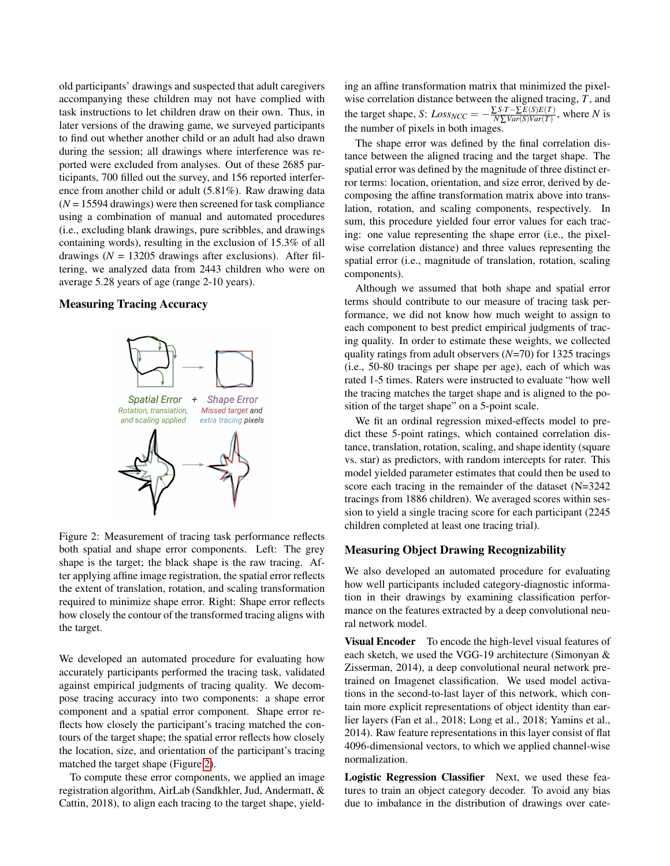old participants' drawings and suspected that adult caregivers accompanying these children may not have complied with task instructions to let children draw on their own. Thus, in later versions of the drawing game, we surveyed participants to find out whether another child or an adult had also drawn during the session; all drawings where interference was reported were excluded from analyses. Out of these 2685 participants, 700 filled out the survey, and 156 reported interference from another child or adult (5.81%). Raw drawing data (*N* = 15594 drawings) were then screened for task compliance using a combination of manual and automated procedures (i.e., excluding blank drawings, pure scribbles, and drawings containing words), resulting in the exclusion of 15.3% of all drawings ( $N = 13205$  drawings after exclusions). After filtering, we analyzed data from 2443 children who were on average 5.28 years of age (range 2-10 years).

#### <span id="page-2-0"></span>Measuring Tracing Accuracy



Figure 2: Measurement of tracing task performance reflects both spatial and shape error components. Left: The grey shape is the target; the black shape is the raw tracing. After applying affine image registration, the spatial error reflects the extent of translation, rotation, and scaling transformation required to minimize shape error. Right: Shape error reflects how closely the contour of the transformed tracing aligns with the target.

We developed an automated procedure for evaluating how accurately participants performed the tracing task, validated against empirical judgments of tracing quality. We decompose tracing accuracy into two components: a shape error component and a spatial error component. Shape error reflects how closely the participant's tracing matched the contours of the target shape; the spatial error reflects how closely the location, size, and orientation of the participant's tracing matched the target shape (Figure [2\)](#page-2-0).

To compute these error components, we applied an image registration algorithm, AirLab (Sandkhler, Jud, Andermatt, & Cattin, 2018), to align each tracing to the target shape, yielding an affine transformation matrix that minimized the pixelwise correlation distance between the aligned tracing, *T*, and the target shape, *S*:  $Loss_{NCC} = -\frac{\sum S \cdot T - \sum E(S)E(T)}{N\sum Var(S)Var(T)}$  $\frac{\sum S \cdot I - \sum E(S)E(I)}{N \sum Var(S)Var(T)}$ , where *N* is the number of pixels in both images.

The shape error was defined by the final correlation distance between the aligned tracing and the target shape. The spatial error was defined by the magnitude of three distinct error terms: location, orientation, and size error, derived by decomposing the affine transformation matrix above into translation, rotation, and scaling components, respectively. In sum, this procedure yielded four error values for each tracing: one value representing the shape error (i.e., the pixelwise correlation distance) and three values representing the spatial error (i.e., magnitude of translation, rotation, scaling components).

Although we assumed that both shape and spatial error terms should contribute to our measure of tracing task performance, we did not know how much weight to assign to each component to best predict empirical judgments of tracing quality. In order to estimate these weights, we collected quality ratings from adult observers (*N*=70) for 1325 tracings (i.e., 50-80 tracings per shape per age), each of which was rated 1-5 times. Raters were instructed to evaluate "how well the tracing matches the target shape and is aligned to the position of the target shape" on a 5-point scale.

We fit an ordinal regression mixed-effects model to predict these 5-point ratings, which contained correlation distance, translation, rotation, scaling, and shape identity (square vs. star) as predictors, with random intercepts for rater. This model yielded parameter estimates that could then be used to score each tracing in the remainder of the dataset (N=3242 tracings from 1886 children). We averaged scores within session to yield a single tracing score for each participant (2245 children completed at least one tracing trial).

## Measuring Object Drawing Recognizability

We also developed an automated procedure for evaluating how well participants included category-diagnostic information in their drawings by examining classification performance on the features extracted by a deep convolutional neural network model.

Visual Encoder To encode the high-level visual features of each sketch, we used the VGG-19 architecture (Simonyan & Zisserman, 2014), a deep convolutional neural network pretrained on Imagenet classification. We used model activations in the second-to-last layer of this network, which contain more explicit representations of object identity than earlier layers (Fan et al., 2018; Long et al., 2018; Yamins et al., 2014). Raw feature representations in this layer consist of flat 4096-dimensional vectors, to which we applied channel-wise normalization.

Logistic Regression Classifier Next, we used these features to train an object category decoder. To avoid any bias due to imbalance in the distribution of drawings over cate-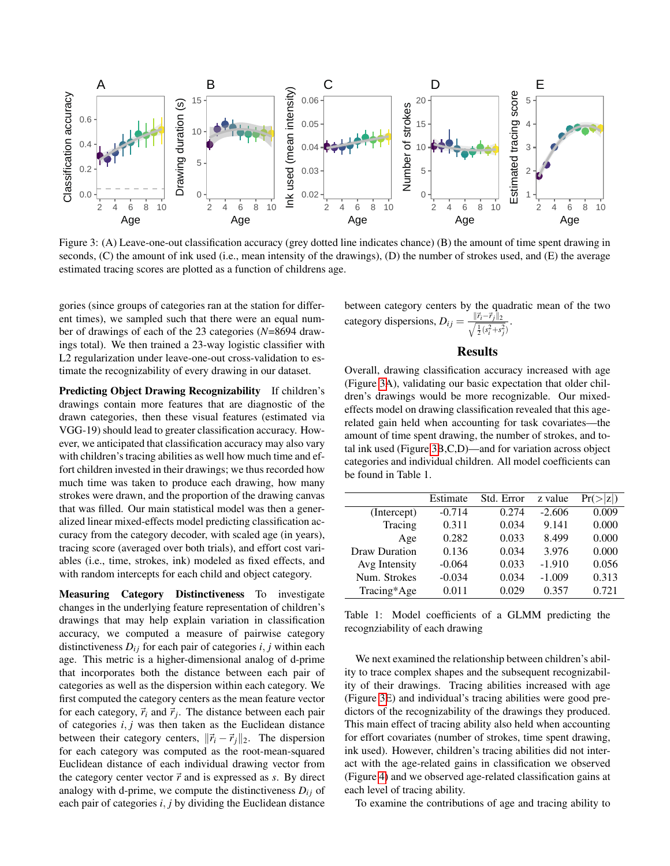<span id="page-3-0"></span>

Figure 3: (A) Leave-one-out classification accuracy (grey dotted line indicates chance) (B) the amount of time spent drawing in seconds, (C) the amount of ink used (i.e., mean intensity of the drawings), (D) the number of strokes used, and (E) the average estimated tracing scores are plotted as a function of childrens age.

gories (since groups of categories ran at the station for different times), we sampled such that there were an equal number of drawings of each of the 23 categories (*N*=8694 drawings total). We then trained a 23-way logistic classifier with L2 regularization under leave-one-out cross-validation to estimate the recognizability of every drawing in our dataset.

Predicting Object Drawing Recognizability If children's drawings contain more features that are diagnostic of the drawn categories, then these visual features (estimated via VGG-19) should lead to greater classification accuracy. However, we anticipated that classification accuracy may also vary with children's tracing abilities as well how much time and effort children invested in their drawings; we thus recorded how much time was taken to produce each drawing, how many strokes were drawn, and the proportion of the drawing canvas that was filled. Our main statistical model was then a generalized linear mixed-effects model predicting classification accuracy from the category decoder, with scaled age (in years), tracing score (averaged over both trials), and effort cost variables (i.e., time, strokes, ink) modeled as fixed effects, and with random intercepts for each child and object category.

Measuring Category Distinctiveness To investigate changes in the underlying feature representation of children's drawings that may help explain variation in classification accuracy, we computed a measure of pairwise category distinctiveness  $D_{ij}$  for each pair of categories  $i, j$  within each age. This metric is a higher-dimensional analog of d-prime that incorporates both the distance between each pair of categories as well as the dispersion within each category. We first computed the category centers as the mean feature vector for each category,  $\vec{r}_i$  and  $\vec{r}_j$ . The distance between each pair of categories *i*, *j* was then taken as the Euclidean distance between their category centers,  $\|\vec{r}_i - \vec{r}_j\|_2$ . The dispersion for each category was computed as the root-mean-squared Euclidean distance of each individual drawing vector from the category center vector  $\vec{r}$  and is expressed as *s*. By direct analogy with d-prime, we compute the distinctiveness  $D_{ij}$  of each pair of categories *i*, *j* by dividing the Euclidean distance between category centers by the quadratic mean of the two category dispersions,  $D_{ij} = \frac{\|\vec{r}_i - \vec{r}_j\|_2}{\sqrt{1/c^2 + \epsilon^2}}$  $\frac{1}{2}(s_i^2+s_j^2)$ .

#### Results

Overall, drawing classification accuracy increased with age (Figure [3A](#page-3-0)), validating our basic expectation that older children's drawings would be more recognizable. Our mixedeffects model on drawing classification revealed that this agerelated gain held when accounting for task covariates—the amount of time spent drawing, the number of strokes, and total ink used (Figure [3B](#page-3-0),C,D)—and for variation across object categories and individual children. All model coefficients can be found in Table 1.

|               | Estimate | Std. Error | z value  | z <br>Pr( |
|---------------|----------|------------|----------|-----------|
| (Intercept)   | $-0.714$ | 0.274      | $-2.606$ | 0.009     |
| Tracing       | 0.311    | 0.034      | 9.141    | 0.000     |
| Age           | 0.282    | 0.033      | 8.499    | 0.000     |
| Draw Duration | 0.136    | 0.034      | 3.976    | 0.000     |
| Avg Intensity | $-0.064$ | 0.033      | $-1.910$ | 0.056     |
| Num. Strokes  | $-0.034$ | 0.034      | $-1.009$ | 0.313     |
| Tracing*Age   | 0.011    | 0.029      | 0.357    | 0.721     |
|               |          |            |          |           |

Table 1: Model coefficients of a GLMM predicting the recognziability of each drawing

We next examined the relationship between children's ability to trace complex shapes and the subsequent recognizability of their drawings. Tracing abilities increased with age (Figure [3E](#page-3-0)) and individual's tracing abilities were good predictors of the recognizability of the drawings they produced. This main effect of tracing ability also held when accounting for effort covariates (number of strokes, time spent drawing, ink used). However, children's tracing abilities did not interact with the age-related gains in classification we observed (Figure [4\)](#page-4-0) and we observed age-related classification gains at each level of tracing ability.

To examine the contributions of age and tracing ability to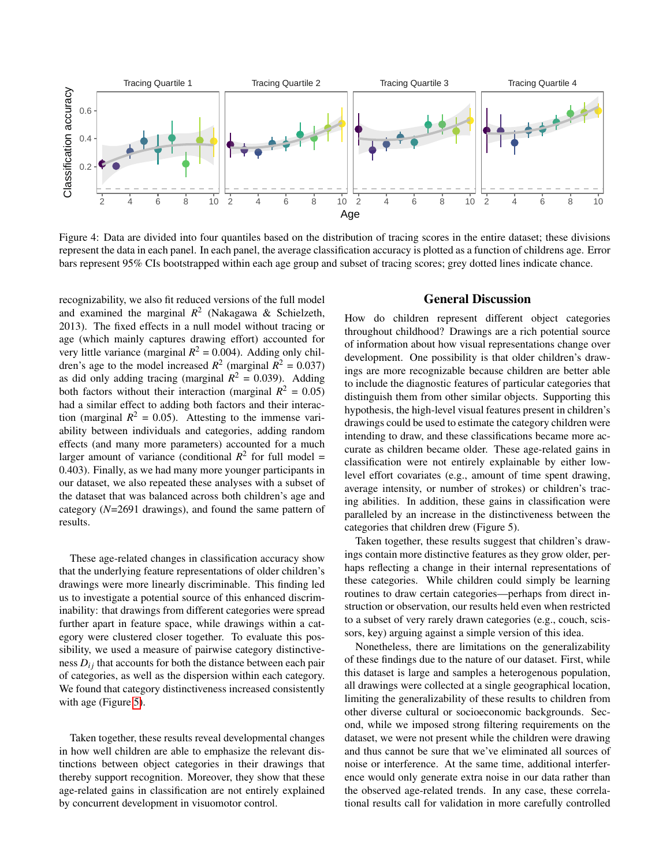<span id="page-4-0"></span>

Figure 4: Data are divided into four quantiles based on the distribution of tracing scores in the entire dataset; these divisions represent the data in each panel. In each panel, the average classification accuracy is plotted as a function of childrens age. Error bars represent 95% CIs bootstrapped within each age group and subset of tracing scores; grey dotted lines indicate chance.

recognizability, we also fit reduced versions of the full model and examined the marginal  $R^2$  (Nakagawa & Schielzeth, 2013). The fixed effects in a null model without tracing or age (which mainly captures drawing effort) accounted for very little variance (marginal  $R^2 = 0.004$ ). Adding only children's age to the model increased  $R^2$  (marginal  $R^2 = 0.037$ ) as did only adding tracing (marginal  $R^2 = 0.039$ ). Adding both factors without their interaction (marginal  $R^2 = 0.05$ ) had a similar effect to adding both factors and their interaction (marginal  $R^2 = 0.05$ ). Attesting to the immense variability between individuals and categories, adding random effects (and many more parameters) accounted for a much larger amount of variance (conditional  $R^2$  for full model = 0.403). Finally, as we had many more younger participants in our dataset, we also repeated these analyses with a subset of the dataset that was balanced across both children's age and category (*N*=2691 drawings), and found the same pattern of results.

These age-related changes in classification accuracy show that the underlying feature representations of older children's drawings were more linearly discriminable. This finding led us to investigate a potential source of this enhanced discriminability: that drawings from different categories were spread further apart in feature space, while drawings within a category were clustered closer together. To evaluate this possibility, we used a measure of pairwise category distinctiveness  $D_{ij}$  that accounts for both the distance between each pair of categories, as well as the dispersion within each category. We found that category distinctiveness increased consistently with age (Figure [5\)](#page-5-0).

Taken together, these results reveal developmental changes in how well children are able to emphasize the relevant distinctions between object categories in their drawings that thereby support recognition. Moreover, they show that these age-related gains in classification are not entirely explained by concurrent development in visuomotor control.

### General Discussion

How do children represent different object categories throughout childhood? Drawings are a rich potential source of information about how visual representations change over development. One possibility is that older children's drawings are more recognizable because children are better able to include the diagnostic features of particular categories that distinguish them from other similar objects. Supporting this hypothesis, the high-level visual features present in children's drawings could be used to estimate the category children were intending to draw, and these classifications became more accurate as children became older. These age-related gains in classification were not entirely explainable by either lowlevel effort covariates (e.g., amount of time spent drawing, average intensity, or number of strokes) or children's tracing abilities. In addition, these gains in classification were paralleled by an increase in the distinctiveness between the categories that children drew (Figure 5).

Taken together, these results suggest that children's drawings contain more distinctive features as they grow older, perhaps reflecting a change in their internal representations of these categories. While children could simply be learning routines to draw certain categories—perhaps from direct instruction or observation, our results held even when restricted to a subset of very rarely drawn categories (e.g., couch, scissors, key) arguing against a simple version of this idea.

Nonetheless, there are limitations on the generalizability of these findings due to the nature of our dataset. First, while this dataset is large and samples a heterogenous population, all drawings were collected at a single geographical location, limiting the generalizability of these results to children from other diverse cultural or socioeconomic backgrounds. Second, while we imposed strong filtering requirements on the dataset, we were not present while the children were drawing and thus cannot be sure that we've eliminated all sources of noise or interference. At the same time, additional interference would only generate extra noise in our data rather than the observed age-related trends. In any case, these correlational results call for validation in more carefully controlled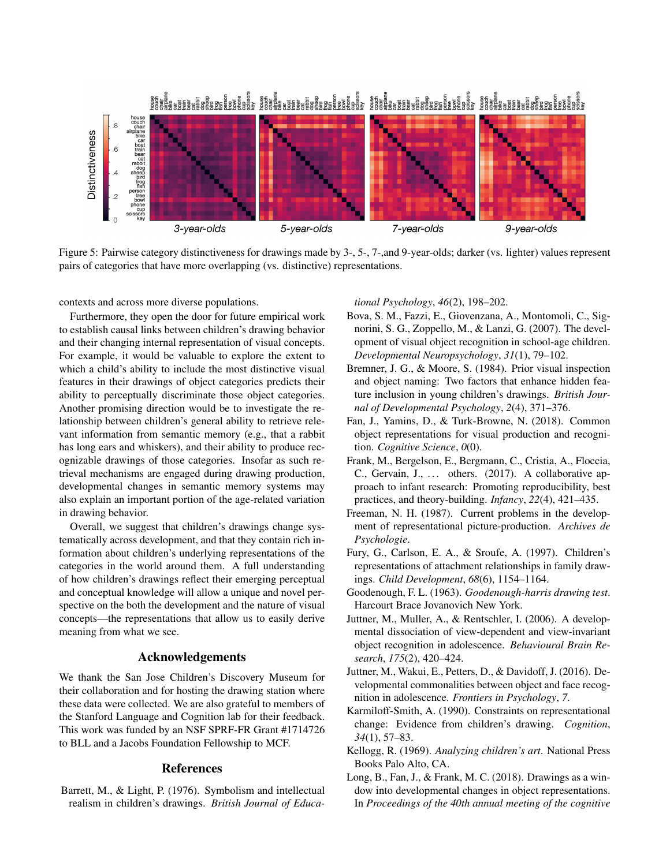<span id="page-5-0"></span>

Figure 5: Pairwise category distinctiveness for drawings made by 3-, 5-, 7-, and 9-year-olds; darker (vs. lighter) values represent pairs of categories that have more overlapping (vs. distinctive) representations.

contexts and across more diverse populations.

Furthermore, they open the door for future empirical work to establish causal links between children's drawing behavior and their changing internal representation of visual concepts. For example, it would be valuable to explore the extent to which a child's ability to include the most distinctive visual features in their drawings of object categories predicts their ability to perceptually discriminate those object categories. Another promising direction would be to investigate the relationship between children's general ability to retrieve relevant information from semantic memory (e.g., that a rabbit has long ears and whiskers), and their ability to produce recognizable drawings of those categories. Insofar as such retrieval mechanisms are engaged during drawing production, developmental changes in semantic memory systems may also explain an important portion of the age-related variation in drawing behavior.

Overall, we suggest that children's drawings change systematically across development, and that they contain rich information about children's underlying representations of the categories in the world around them. A full understanding of how children's drawings reflect their emerging perceptual and conceptual knowledge will allow a unique and novel perspective on the both the development and the nature of visual concepts—the representations that allow us to easily derive meaning from what we see.

# Acknowledgements

We thank the San Jose Children's Discovery Museum for their collaboration and for hosting the drawing station where these data were collected. We are also grateful to members of the Stanford Language and Cognition lab for their feedback. This work was funded by an NSF SPRF-FR Grant #1714726 to BLL and a Jacobs Foundation Fellowship to MCF.

## References

Barrett, M., & Light, P. (1976). Symbolism and intellectual realism in children's drawings. *British Journal of Educa-* *tional Psychology*, *46*(2), 198–202.

- Bova, S. M., Fazzi, E., Giovenzana, A., Montomoli, C., Signorini, S. G., Zoppello, M., & Lanzi, G. (2007). The development of visual object recognition in school-age children. *Developmental Neuropsychology*, *31*(1), 79–102.
- Bremner, J. G., & Moore, S. (1984). Prior visual inspection and object naming: Two factors that enhance hidden feature inclusion in young children's drawings. *British Journal of Developmental Psychology*, *2*(4), 371–376.
- Fan, J., Yamins, D., & Turk-Browne, N. (2018). Common object representations for visual production and recognition. *Cognitive Science*, *0*(0).
- Frank, M., Bergelson, E., Bergmann, C., Cristia, A., Floccia, C., Gervain, J., ... others. (2017). A collaborative approach to infant research: Promoting reproducibility, best practices, and theory-building. *Infancy*, *22*(4), 421–435.
- Freeman, N. H. (1987). Current problems in the development of representational picture-production. *Archives de Psychologie*.
- Fury, G., Carlson, E. A., & Sroufe, A. (1997). Children's representations of attachment relationships in family drawings. *Child Development*, *68*(6), 1154–1164.
- Goodenough, F. L. (1963). *Goodenough-harris drawing test*. Harcourt Brace Jovanovich New York.
- Juttner, M., Muller, A., & Rentschler, I. (2006). A developmental dissociation of view-dependent and view-invariant object recognition in adolescence. *Behavioural Brain Research*, *175*(2), 420–424.
- Juttner, M., Wakui, E., Petters, D., & Davidoff, J. (2016). Developmental commonalities between object and face recognition in adolescence. *Frontiers in Psychology*, *7*.
- Karmiloff-Smith, A. (1990). Constraints on representational change: Evidence from children's drawing. *Cognition*, *34*(1), 57–83.
- Kellogg, R. (1969). *Analyzing children's art*. National Press Books Palo Alto, CA.
- Long, B., Fan, J., & Frank, M. C. (2018). Drawings as a window into developmental changes in object representations. In *Proceedings of the 40th annual meeting of the cognitive*